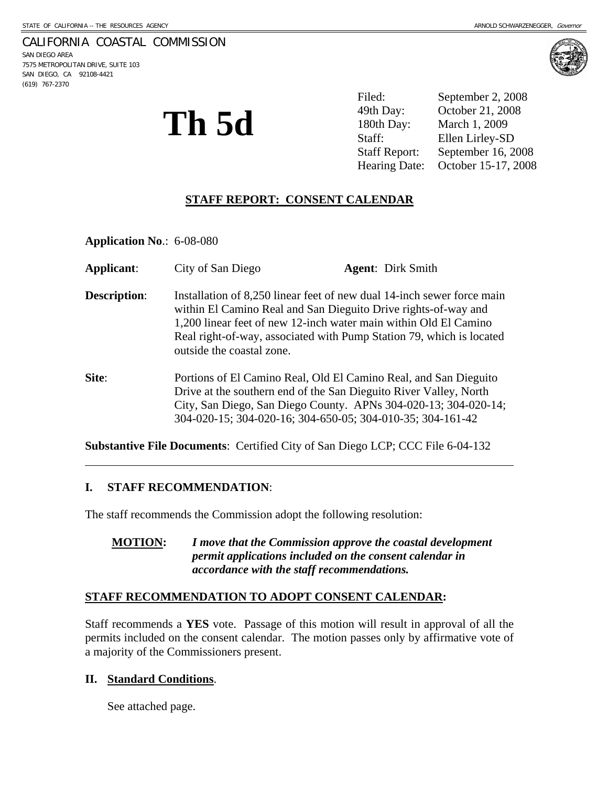### CALIFORNIA COASTAL COMMISSION

SAN DIEGO AREA 7575 METROPOLITAN DRIVE, SUITE 103 SAN DIEGO, CA 92108-4421 (619) 767-2370

 $\overline{a}$ 



**Th 5d** 

Filed: September 2, 2008 49th Day: October 21, 2008 180th Day: March 1, 2009 Staff: Ellen Lirley-SD Staff Report: September 16, 2008 Hearing Date: October 15-17, 2008

# **STAFF REPORT: CONSENT CALENDAR**

**Application No**.: 6-08-080

| Applicant:          | City of San Diego                                                                                                                                                                                                                                                                                                 | <b>Agent:</b> Dirk Smith                                        |
|---------------------|-------------------------------------------------------------------------------------------------------------------------------------------------------------------------------------------------------------------------------------------------------------------------------------------------------------------|-----------------------------------------------------------------|
| <b>Description:</b> | Installation of 8,250 linear feet of new dual 14-inch sewer force main<br>within El Camino Real and San Dieguito Drive rights-of-way and<br>1,200 linear feet of new 12-inch water main within Old El Camino<br>Real right-of-way, associated with Pump Station 79, which is located<br>outside the coastal zone. |                                                                 |
| Site:               | Portions of El Camino Real, Old El Camino Real, and San Dieguito<br>Drive at the southern end of the San Dieguito River Valley, North<br>304-020-15; 304-020-16; 304-650-05; 304-010-35; 304-161-42                                                                                                               | City, San Diego, San Diego County. APNs 304-020-13; 304-020-14; |

**Substantive File Documents**: Certified City of San Diego LCP; CCC File 6-04-132

### **I. STAFF RECOMMENDATION**:

The staff recommends the Commission adopt the following resolution:

| <b>MOTION:</b> | I move that the Commission approve the coastal development |
|----------------|------------------------------------------------------------|
|                | permit applications included on the consent calendar in    |
|                | accordance with the staff recommendations.                 |

### **STAFF RECOMMENDATION TO ADOPT CONSENT CALENDAR:**

Staff recommends a **YES** vote. Passage of this motion will result in approval of all the permits included on the consent calendar. The motion passes only by affirmative vote of a majority of the Commissioners present.

### **II. Standard Conditions**.

See attached page.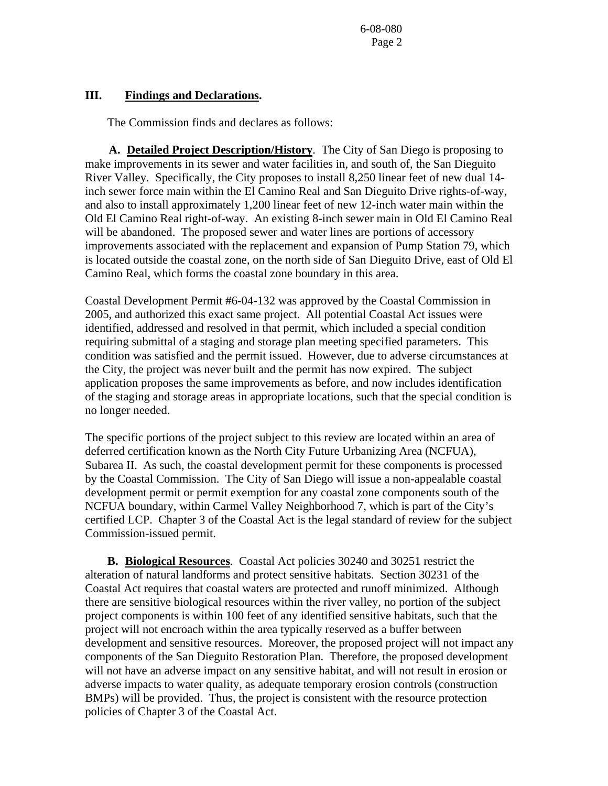6-08-080 Page 2

#### **III. Findings and Declarations.**

The Commission finds and declares as follows:

 **A. Detailed Project Description/History**. The City of San Diego is proposing to make improvements in its sewer and water facilities in, and south of, the San Dieguito River Valley. Specifically, the City proposes to install 8,250 linear feet of new dual 14 inch sewer force main within the El Camino Real and San Dieguito Drive rights-of-way, and also to install approximately 1,200 linear feet of new 12-inch water main within the Old El Camino Real right-of-way. An existing 8-inch sewer main in Old El Camino Real will be abandoned. The proposed sewer and water lines are portions of accessory improvements associated with the replacement and expansion of Pump Station 79, which is located outside the coastal zone, on the north side of San Dieguito Drive, east of Old El Camino Real, which forms the coastal zone boundary in this area.

Coastal Development Permit #6-04-132 was approved by the Coastal Commission in 2005, and authorized this exact same project. All potential Coastal Act issues were identified, addressed and resolved in that permit, which included a special condition requiring submittal of a staging and storage plan meeting specified parameters. This condition was satisfied and the permit issued. However, due to adverse circumstances at the City, the project was never built and the permit has now expired. The subject application proposes the same improvements as before, and now includes identification of the staging and storage areas in appropriate locations, such that the special condition is no longer needed.

The specific portions of the project subject to this review are located within an area of deferred certification known as the North City Future Urbanizing Area (NCFUA), Subarea II. As such, the coastal development permit for these components is processed by the Coastal Commission. The City of San Diego will issue a non-appealable coastal development permit or permit exemption for any coastal zone components south of the NCFUA boundary, within Carmel Valley Neighborhood 7, which is part of the City's certified LCP. Chapter 3 of the Coastal Act is the legal standard of review for the subject Commission-issued permit.

 **B. Biological Resources**. Coastal Act policies 30240 and 30251 restrict the alteration of natural landforms and protect sensitive habitats. Section 30231 of the Coastal Act requires that coastal waters are protected and runoff minimized. Although there are sensitive biological resources within the river valley, no portion of the subject project components is within 100 feet of any identified sensitive habitats, such that the project will not encroach within the area typically reserved as a buffer between development and sensitive resources. Moreover, the proposed project will not impact any components of the San Dieguito Restoration Plan. Therefore, the proposed development will not have an adverse impact on any sensitive habitat, and will not result in erosion or adverse impacts to water quality, as adequate temporary erosion controls (construction BMPs) will be provided. Thus, the project is consistent with the resource protection policies of Chapter 3 of the Coastal Act.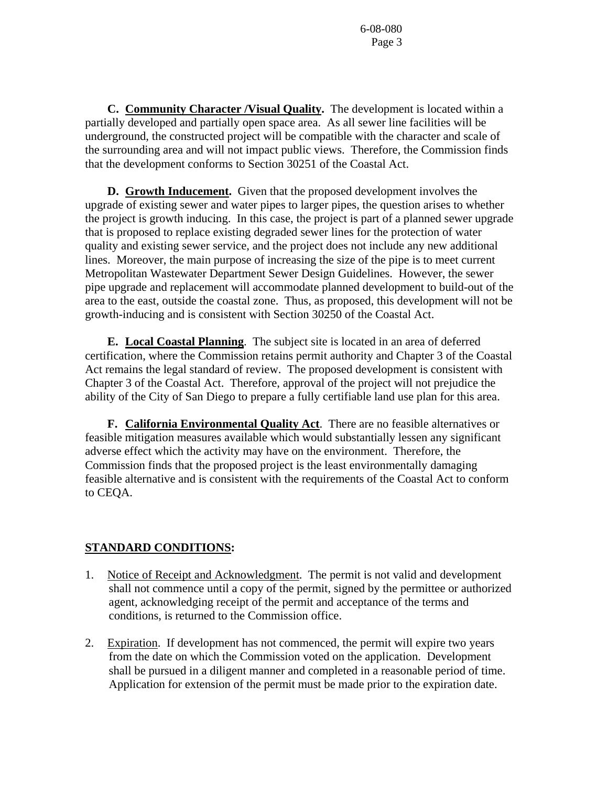6-08-080 Page 3

 **C. Community Character /Visual Quality.** The development is located within a partially developed and partially open space area. As all sewer line facilities will be underground, the constructed project will be compatible with the character and scale of the surrounding area and will not impact public views. Therefore, the Commission finds that the development conforms to Section 30251 of the Coastal Act.

 **D. Growth Inducement.** Given that the proposed development involves the upgrade of existing sewer and water pipes to larger pipes, the question arises to whether the project is growth inducing. In this case, the project is part of a planned sewer upgrade that is proposed to replace existing degraded sewer lines for the protection of water quality and existing sewer service, and the project does not include any new additional lines. Moreover, the main purpose of increasing the size of the pipe is to meet current Metropolitan Wastewater Department Sewer Design Guidelines. However, the sewer pipe upgrade and replacement will accommodate planned development to build-out of the area to the east, outside the coastal zone. Thus, as proposed, this development will not be growth-inducing and is consistent with Section 30250 of the Coastal Act.

 **E. Local Coastal Planning**. The subject site is located in an area of deferred certification, where the Commission retains permit authority and Chapter 3 of the Coastal Act remains the legal standard of review. The proposed development is consistent with Chapter 3 of the Coastal Act. Therefore, approval of the project will not prejudice the ability of the City of San Diego to prepare a fully certifiable land use plan for this area.

 **F. California Environmental Quality Act**. There are no feasible alternatives or feasible mitigation measures available which would substantially lessen any significant adverse effect which the activity may have on the environment. Therefore, the Commission finds that the proposed project is the least environmentally damaging feasible alternative and is consistent with the requirements of the Coastal Act to conform to CEQA.

# **STANDARD CONDITIONS:**

- 1. Notice of Receipt and Acknowledgment. The permit is not valid and development shall not commence until a copy of the permit, signed by the permittee or authorized agent, acknowledging receipt of the permit and acceptance of the terms and conditions, is returned to the Commission office.
- 2. Expiration. If development has not commenced, the permit will expire two years from the date on which the Commission voted on the application. Development shall be pursued in a diligent manner and completed in a reasonable period of time. Application for extension of the permit must be made prior to the expiration date.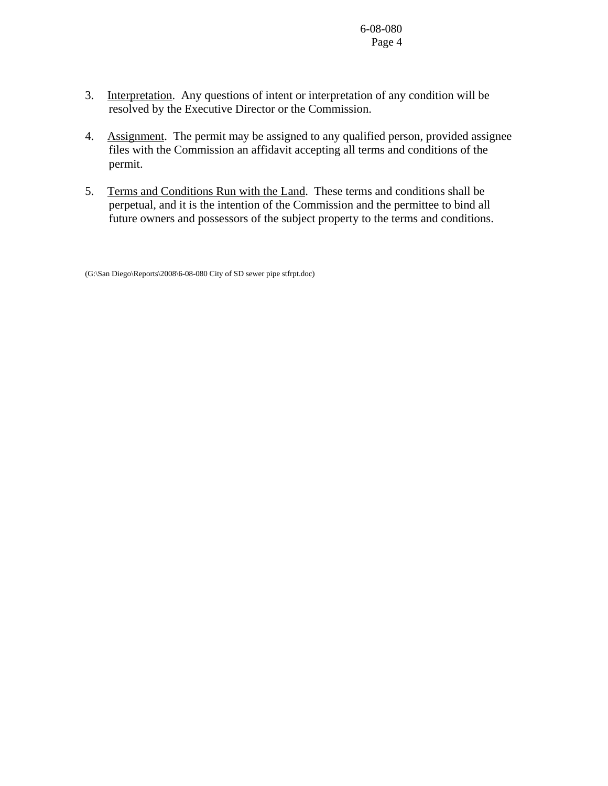6-08-080 Page 4

- 3. Interpretation. Any questions of intent or interpretation of any condition will be resolved by the Executive Director or the Commission.
- 4. Assignment. The permit may be assigned to any qualified person, provided assignee files with the Commission an affidavit accepting all terms and conditions of the permit.
- 5. Terms and Conditions Run with the Land. These terms and conditions shall be perpetual, and it is the intention of the Commission and the permittee to bind all future owners and possessors of the subject property to the terms and conditions.

(G:\San Diego\Reports\2008\6-08-080 City of SD sewer pipe stfrpt.doc)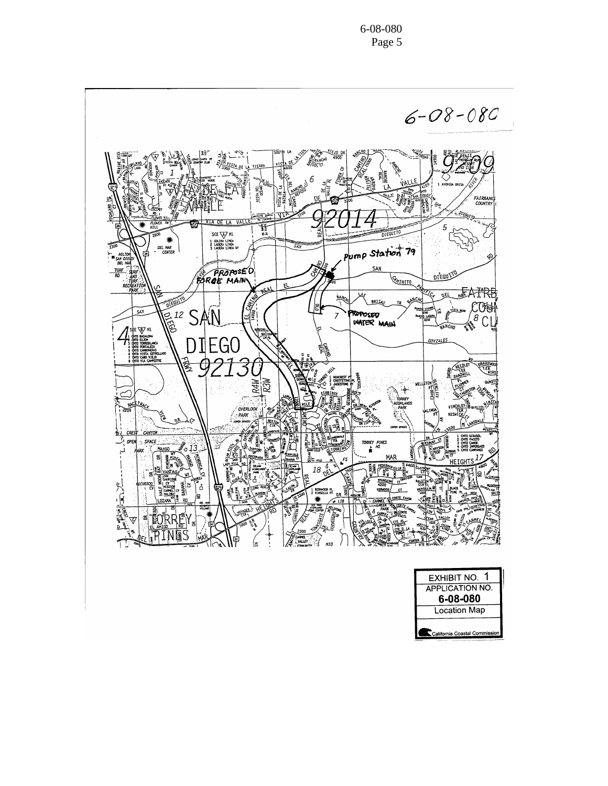$6 - 08 - 080$ E June **RATCHO**  $\begin{bmatrix} 33 \\ m \end{bmatrix}$ **ANTIGOTO VEJO DR ZALAN**  $\frac{4}{3}$ 4900 É,  $\mathcal{L}$ VISTA DE TIER <u>are</u> fi **FAIRBANK**<br>COUNTRY <sup>NEQUITO</sup>  $\frac{1}{4}$ **PART** 5 SEE  $\nabla^{\mu}$  $rac{30}{20}$ <br> $frac{1}{20}$ <br> $frac{1}{20}$ 3 LADERA LINCA NY  $\overline{20}$ Pump Station 79 HILTON<br>
DEL HAR<br>
TURE<br>
RO AMO **PROPOSED** DI'EGUIO **GATINITO** RECHE 氐 لمحيج 上下来  $\overline{\mathcal{L}}$ باعو MК e Court  $CC$ SAY  $\widetilde{\mathbb{B}}^{12}$  SAN ROPOSED<br>WATER MAIN ₫  $\frac{1}{3}$  CL  $\overline{7}$ ĝ,  $\begin{array}{c}\n\mathbf{3} & \text{SE} \\
\mathbf{1} & \text{SE} \\
\mathbf{2} & \text{SE} \\
\mathbf{3} & \text{SE} \\
\mathbf{4} & \text{SE} \\
\mathbf{5} & \text{SE} \\
\mathbf{6} & \text{SE} \\
\mathbf{7} & \text{SE} \\
\mathbf{8} & \text{SE} \\
\mathbf{9} & \text{SE} \\
\mathbf{1} & \text{SE} \\
\mathbf{1} & \text{SE} \\
\mathbf{2} & \text{SE} \\
\mathbf{3} & \text{SE} \\
\mathbf{4} & \text{SE} \\
\mathbf{5} & \text{SE} \\
\mathbf{$ **SANCHO** 쒸 **DIEGO CONZALES** 屋 **ORAKENO** Ü ゔ U R4W<br>R3W nger<br>Si ٣, **PACE** FINCHLE OVERLOOK **Prop** oβ ነራ (₹ **CRES** 1 0mg<br>2 0mg<br>3 0mg<br>4 0mg<br>5 0mg TORREY PINES<br>E<sup>HS</sup> OPEN  $\sim$  SPACE Einer **EXAMPLE 1999**<br>HEIGHT!<br>HEIGHT! **MANGO**  $\sim$  13 1.3.11<br>- 唐<br>- 上 一篇 **Excession MAR** 릐 圖 **PERIT SERVICE CONTROL** 18  $rac{57000}{4200}$ 휈 可意情人 ¦S ْمُ أ LOZANA<sup>W</sup>E g CORTE FA 燬 **E**ORRE ē **Kongression** း ড ۽ ا **ALNES** IМ **CUMEL**<br>NUMBER E мIО

| <b>EXHIBIT NO.</b>            |  |
|-------------------------------|--|
| <b>APPLICATION NO.</b>        |  |
| 6-08-080                      |  |
| Location Map                  |  |
| California Coastal Commission |  |

6-08-080 Page 5